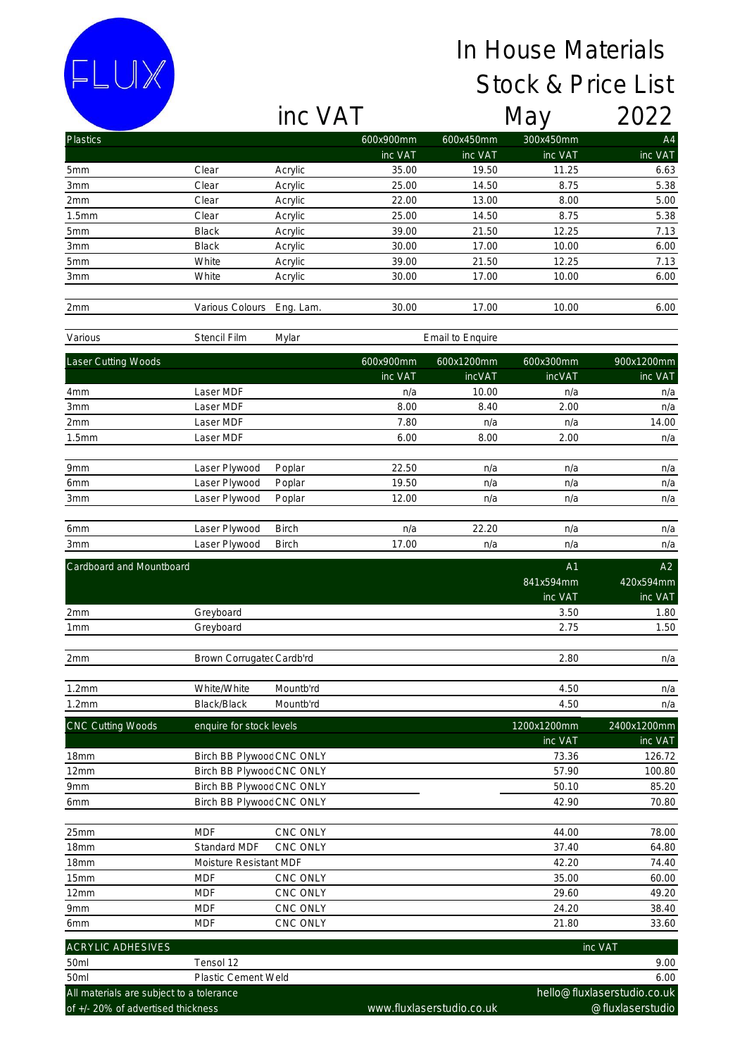## In House Materials Stock & Price List

inc VAT May 2022

FLUX

| <b>Plastics</b>                          |                           |              | 600x900mm        | 600x450mm                 | 300x450mm     | A4                          |
|------------------------------------------|---------------------------|--------------|------------------|---------------------------|---------------|-----------------------------|
|                                          |                           |              | inc VAT          | inc VAT                   | inc VAT       | inc VAT                     |
| 5mm                                      | Clear                     | Acrylic      | 35.00            | 19.50                     | 11.25         | 6.63                        |
| 3mm                                      | Clear                     | Acrylic      | 25.00            | 14.50                     | 8.75          | 5.38                        |
| 2mm                                      | Clear                     | Acrylic      | 22.00            | 13.00                     | 8.00          | 5.00                        |
| 1.5mm                                    | Clear                     | Acrylic      | 25.00            | 14.50                     | 8.75          | 5.38                        |
| 5mm                                      | Black                     | Acrylic      | 39.00            | 21.50                     | 12.25         | 7.13                        |
| 3mm                                      | Black                     | Acrylic      | 30.00            | 17.00                     | 10.00         | 6.00                        |
| 5mm                                      | White                     | Acrylic      | 39.00            | 21.50                     | 12.25         | 7.13                        |
| 3mm                                      | White                     | Acrylic      | 30.00            | 17.00                     | 10.00         | 6.00                        |
| 2mm                                      | Various Colours           | Eng. Lam.    | 30.00            | 17.00                     | 10.00         | 6.00                        |
| Various                                  | Stencil Film              | Mylar        | Email to Enquire |                           |               |                             |
| Laser Cutting Woods                      |                           |              | 600x900mm        | 600x1200mm                | 600x300mm     | 900x1200mm                  |
|                                          |                           |              | inc VAT          | <b>incVAT</b>             | <b>incVAT</b> | inc VAT                     |
| 4mm                                      | Laser MDF                 |              | n/a              | 10.00                     | n/a           | n/a                         |
| 3mm                                      | Laser MDF                 |              | 8.00             | 8.40                      | 2.00          | n/a                         |
| 2mm                                      | Laser MDF                 |              | 7.80             | n/a                       | n/a           | 14.00                       |
| 1.5mm                                    | Laser MDF                 |              | 6.00             | 8.00                      | 2.00          | n/a                         |
|                                          |                           |              |                  |                           |               |                             |
| 9mm                                      | Laser Plywood             | Poplar       | 22.50            | n/a                       | n/a           | n/a                         |
| 6mm                                      | Laser Plywood             | Poplar       | 19.50            | n/a                       | n/a           | n/a                         |
| 3mm                                      | Laser Plywood             | Poplar       | 12.00            | n/a                       | n/a           | n/a                         |
|                                          | Laser Plywood             | <b>Birch</b> | n/a              | 22.20                     |               |                             |
| 6mm<br>3mm                               | Laser Plywood             | Birch        | 17.00            | n/a                       | n/a<br>n/a    | n/a<br>n/a                  |
|                                          |                           |              |                  |                           |               |                             |
| Cardboard and Mountboard                 |                           |              |                  |                           | A1            | A2                          |
|                                          |                           |              |                  |                           | 841x594mm     | 420x594mm                   |
|                                          |                           |              |                  |                           | inc VAT       | inc VAT                     |
| 2mm                                      | Greyboard                 |              |                  |                           | 3.50          | 1.80                        |
| 1mm                                      | Greyboard                 |              |                  |                           | 2.75          | 1.50                        |
| 2mm                                      | Brown Corrugated Cardb'rd |              |                  |                           | 2.80          | n/a                         |
|                                          |                           |              |                  |                           |               |                             |
| 1.2mm                                    | White/White               | Mountb'rd    |                  |                           | 4.50          | n/a                         |
| 1.2mm                                    | Black/Black               | Mountb'rd    |                  |                           | 4.50          | n/a                         |
| CNC Cutting Woods                        | enquire for stock levels  |              |                  |                           | 1200x1200mm   | 2400x1200mm                 |
|                                          |                           |              |                  |                           | inc VAT       | inc VAT                     |
| 18mm                                     | Birch BB Plywooc CNC ONLY |              |                  |                           | 73.36         | 126.72                      |
| 12mm                                     | Birch BB Plywooc CNC ONLY |              |                  |                           | 57.90         | 100.80                      |
| 9mm                                      | Birch BB Plywooc CNC ONLY |              |                  |                           | 50.10         | 85.20                       |
| 6mm                                      | Birch BB Plywooc CNC ONLY |              |                  |                           | 42.90         | 70.80                       |
| 25mm                                     | <b>MDF</b>                | CNC ONLY     |                  |                           | 44.00         | 78.00                       |
| 18mm                                     | Standard MDF              | CNC ONLY     |                  |                           | 37.40         | 64.80                       |
| 18mm                                     | Moisture Resistant MDF    |              |                  |                           | 42.20         | 74.40                       |
| 15mm                                     | <b>MDF</b>                | CNC ONLY     |                  |                           | 35.00         | 60.00                       |
| 12mm                                     | <b>MDF</b>                | CNC ONLY     |                  |                           | 29.60         | 49.20                       |
| 9mm                                      | <b>MDF</b>                | CNC ONLY     |                  |                           | 24.20         | 38.40                       |
| 6mm                                      | <b>MDF</b>                | CNC ONLY     |                  |                           | 21.80         | 33.60                       |
| ACRYLIC ADHESIVES                        |                           |              |                  |                           |               | inc VAT                     |
| 50ml                                     | Tensol 12                 |              |                  |                           |               | 9.00                        |
| 50ml                                     | Plastic Cement Weld       |              |                  |                           |               | 6.00                        |
| All materials are subject to a tolerance |                           |              |                  |                           |               | hello@fluxlaserstudio.co.uk |
| of +/- 20% of advertised thickness       |                           |              |                  | www.fluxlaserstudio.co.uk |               | @fluxlaserstudio            |